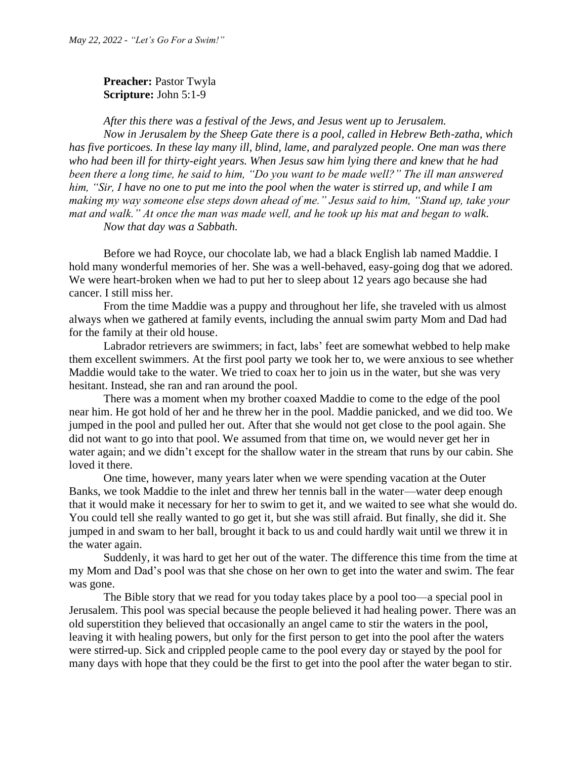**Preacher: Pastor Twyla Scripture:** John 5:1-9

*After this there was a festival of the Jews, and Jesus went up to Jerusalem.*

*Now in Jerusalem by the Sheep Gate there is a pool, called in Hebrew Beth-zatha, which has five porticoes. In these lay many ill, blind, lame, and paralyzed people. One man was there who had been ill for thirty-eight years. When Jesus saw him lying there and knew that he had been there a long time, he said to him, "Do you want to be made well?" The ill man answered him, "Sir, I have no one to put me into the pool when the water is stirred up, and while I am making my way someone else steps down ahead of me." Jesus said to him, "Stand up, take your mat and walk." At once the man was made well, and he took up his mat and began to walk. Now that day was a Sabbath.*

Before we had Royce, our chocolate lab, we had a black English lab named Maddie. I hold many wonderful memories of her. She was a well-behaved, easy-going dog that we adored. We were heart-broken when we had to put her to sleep about 12 years ago because she had cancer. I still miss her.

From the time Maddie was a puppy and throughout her life, she traveled with us almost always when we gathered at family events, including the annual swim party Mom and Dad had for the family at their old house.

Labrador retrievers are swimmers; in fact, labs' feet are somewhat webbed to help make them excellent swimmers. At the first pool party we took her to, we were anxious to see whether Maddie would take to the water. We tried to coax her to join us in the water, but she was very hesitant. Instead, she ran and ran around the pool.

There was a moment when my brother coaxed Maddie to come to the edge of the pool near him. He got hold of her and he threw her in the pool. Maddie panicked, and we did too. We jumped in the pool and pulled her out. After that she would not get close to the pool again. She did not want to go into that pool. We assumed from that time on, we would never get her in water again; and we didn't except for the shallow water in the stream that runs by our cabin. She loved it there.

One time, however, many years later when we were spending vacation at the Outer Banks, we took Maddie to the inlet and threw her tennis ball in the water—water deep enough that it would make it necessary for her to swim to get it, and we waited to see what she would do. You could tell she really wanted to go get it, but she was still afraid. But finally, she did it. She jumped in and swam to her ball, brought it back to us and could hardly wait until we threw it in the water again.

Suddenly, it was hard to get her out of the water. The difference this time from the time at my Mom and Dad's pool was that she chose on her own to get into the water and swim. The fear was gone.

The Bible story that we read for you today takes place by a pool too—a special pool in Jerusalem. This pool was special because the people believed it had healing power. There was an old superstition they believed that occasionally an angel came to stir the waters in the pool, leaving it with healing powers, but only for the first person to get into the pool after the waters were stirred-up. Sick and crippled people came to the pool every day or stayed by the pool for many days with hope that they could be the first to get into the pool after the water began to stir.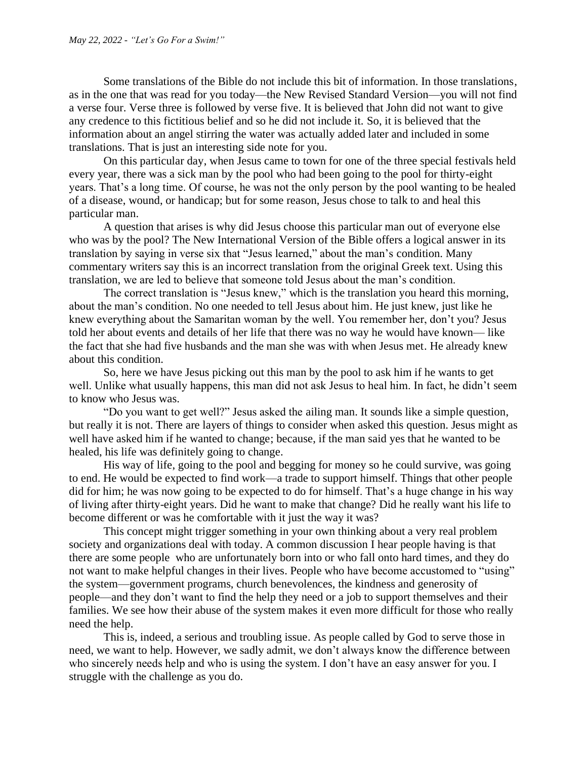Some translations of the Bible do not include this bit of information. In those translations, as in the one that was read for you today—the New Revised Standard Version—you will not find a verse four. Verse three is followed by verse five. It is believed that John did not want to give any credence to this fictitious belief and so he did not include it. So, it is believed that the information about an angel stirring the water was actually added later and included in some translations. That is just an interesting side note for you.

On this particular day, when Jesus came to town for one of the three special festivals held every year, there was a sick man by the pool who had been going to the pool for thirty-eight years. That's a long time. Of course, he was not the only person by the pool wanting to be healed of a disease, wound, or handicap; but for some reason, Jesus chose to talk to and heal this particular man.

A question that arises is why did Jesus choose this particular man out of everyone else who was by the pool? The New International Version of the Bible offers a logical answer in its translation by saying in verse six that "Jesus learned," about the man's condition. Many commentary writers say this is an incorrect translation from the original Greek text. Using this translation, we are led to believe that someone told Jesus about the man's condition.

The correct translation is "Jesus knew," which is the translation you heard this morning, about the man's condition. No one needed to tell Jesus about him. He just knew, just like he knew everything about the Samaritan woman by the well. You remember her, don't you? Jesus told her about events and details of her life that there was no way he would have known— like the fact that she had five husbands and the man she was with when Jesus met. He already knew about this condition.

So, here we have Jesus picking out this man by the pool to ask him if he wants to get well. Unlike what usually happens, this man did not ask Jesus to heal him. In fact, he didn't seem to know who Jesus was.

"Do you want to get well?" Jesus asked the ailing man. It sounds like a simple question, but really it is not. There are layers of things to consider when asked this question. Jesus might as well have asked him if he wanted to change; because, if the man said yes that he wanted to be healed, his life was definitely going to change.

His way of life, going to the pool and begging for money so he could survive, was going to end. He would be expected to find work—a trade to support himself. Things that other people did for him; he was now going to be expected to do for himself. That's a huge change in his way of living after thirty-eight years. Did he want to make that change? Did he really want his life to become different or was he comfortable with it just the way it was?

This concept might trigger something in your own thinking about a very real problem society and organizations deal with today. A common discussion I hear people having is that there are some people who are unfortunately born into or who fall onto hard times, and they do not want to make helpful changes in their lives. People who have become accustomed to "using" the system—government programs, church benevolences, the kindness and generosity of people—and they don't want to find the help they need or a job to support themselves and their families. We see how their abuse of the system makes it even more difficult for those who really need the help.

This is, indeed, a serious and troubling issue. As people called by God to serve those in need, we want to help. However, we sadly admit, we don't always know the difference between who sincerely needs help and who is using the system. I don't have an easy answer for you. I struggle with the challenge as you do.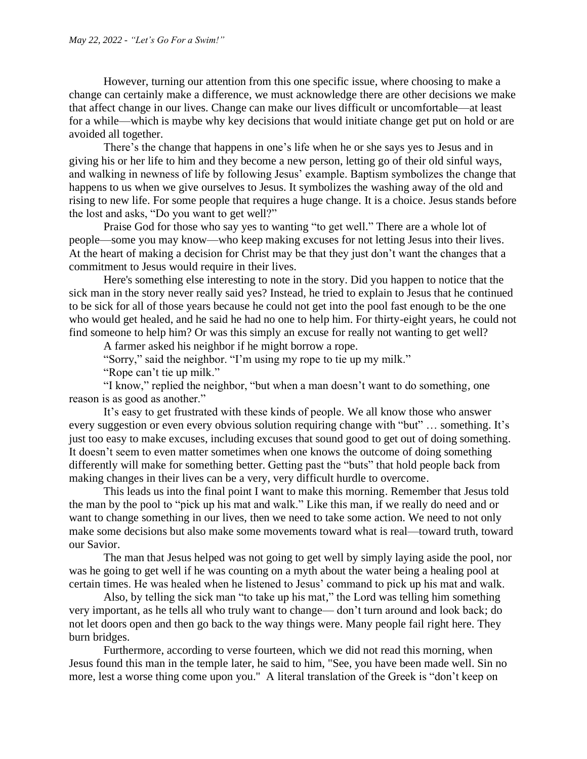However, turning our attention from this one specific issue, where choosing to make a change can certainly make a difference, we must acknowledge there are other decisions we make that affect change in our lives. Change can make our lives difficult or uncomfortable—at least for a while—which is maybe why key decisions that would initiate change get put on hold or are avoided all together.

There's the change that happens in one's life when he or she says yes to Jesus and in giving his or her life to him and they become a new person, letting go of their old sinful ways, and walking in newness of life by following Jesus' example. Baptism symbolizes the change that happens to us when we give ourselves to Jesus. It symbolizes the washing away of the old and rising to new life. For some people that requires a huge change. It is a choice. Jesus stands before the lost and asks, "Do you want to get well?"

Praise God for those who say yes to wanting "to get well." There are a whole lot of people—some you may know—who keep making excuses for not letting Jesus into their lives. At the heart of making a decision for Christ may be that they just don't want the changes that a commitment to Jesus would require in their lives.

Here's something else interesting to note in the story. Did you happen to notice that the sick man in the story never really said yes? Instead, he tried to explain to Jesus that he continued to be sick for all of those years because he could not get into the pool fast enough to be the one who would get healed, and he said he had no one to help him. For thirty-eight years, he could not find someone to help him? Or was this simply an excuse for really not wanting to get well?

A farmer asked his neighbor if he might borrow a rope.

"Sorry," said the neighbor. "I'm using my rope to tie up my milk."

"Rope can't tie up milk."

"I know," replied the neighbor, "but when a man doesn't want to do something, one reason is as good as another."

It's easy to get frustrated with these kinds of people. We all know those who answer every suggestion or even every obvious solution requiring change with "but" … something. It's just too easy to make excuses, including excuses that sound good to get out of doing something. It doesn't seem to even matter sometimes when one knows the outcome of doing something differently will make for something better. Getting past the "buts" that hold people back from making changes in their lives can be a very, very difficult hurdle to overcome.

This leads us into the final point I want to make this morning. Remember that Jesus told the man by the pool to "pick up his mat and walk." Like this man, if we really do need and or want to change something in our lives, then we need to take some action. We need to not only make some decisions but also make some movements toward what is real—toward truth, toward our Savior.

The man that Jesus helped was not going to get well by simply laying aside the pool, nor was he going to get well if he was counting on a myth about the water being a healing pool at certain times. He was healed when he listened to Jesus' command to pick up his mat and walk.

Also, by telling the sick man "to take up his mat," the Lord was telling him something very important, as he tells all who truly want to change— don't turn around and look back; do not let doors open and then go back to the way things were. Many people fail right here. They burn bridges.

Furthermore, according to verse fourteen, which we did not read this morning, when Jesus found this man in the temple later, he said to him, "See, you have been made well. Sin no more, lest a worse thing come upon you." A literal translation of the Greek is "don't keep on